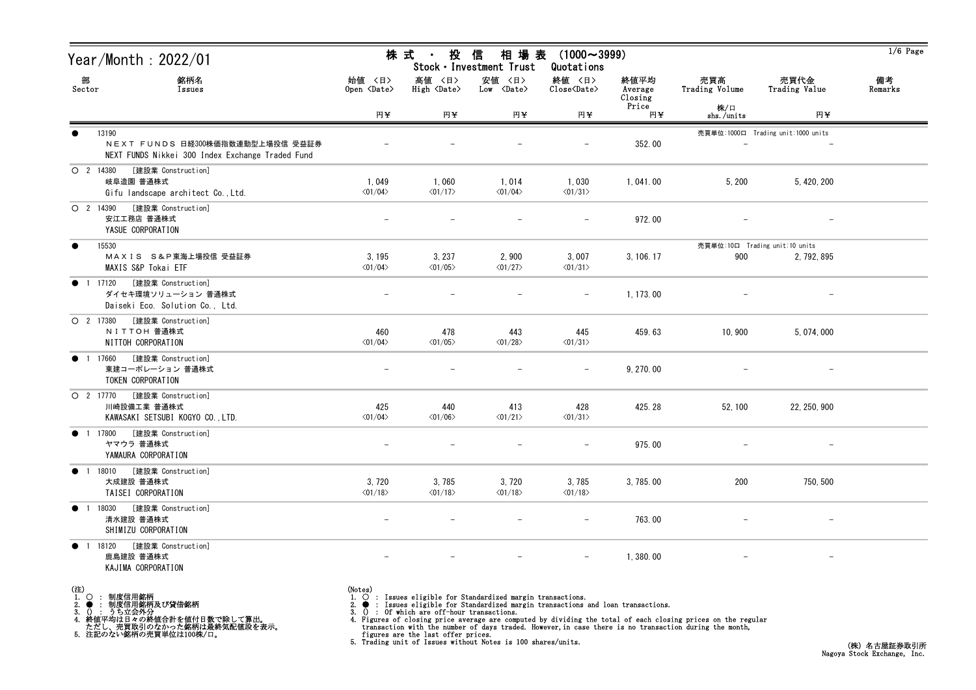|                             | Year/Month : 2022/01                                                                          | 株 式<br>投<br>$(1000 \sim 3999)$<br>信<br>相場表<br>$\blacksquare$<br>Stock · Investment Trust<br>Quotations |                                   |                                  |                                                              |                            |                                |                                    | $1/6$ Page    |
|-----------------------------|-----------------------------------------------------------------------------------------------|--------------------------------------------------------------------------------------------------------|-----------------------------------|----------------------------------|--------------------------------------------------------------|----------------------------|--------------------------------|------------------------------------|---------------|
| 部<br>Sector                 | 銘柄名<br>Issues                                                                                 | 始値 〈日〉<br>Open $\langle$ Date $\rangle$                                                                | 高値 〈日〉<br>High <date></date>      | 安値 〈日〉<br>$Low \times Date$      | 終値 〈日〉<br>$\overline{\text{Close}}\langle\text{Date}\rangle$ | 終値平均<br>Average<br>Closing | 売買高<br>Trading Volume          | 売買代金<br>Trading Value              | 備考<br>Remarks |
|                             |                                                                                               | 円半                                                                                                     | 円半                                | 円半                               | 円半                                                           | Price<br>円半                | 株/口<br>shs./units              | 円半                                 |               |
| $\bullet$                   | 13190<br>NEXT FUNDS 日経300株価指数連動型上場投信 受益証券<br>NEXT FUNDS Nikkei 300 Index Exchange Traded Fund |                                                                                                        |                                   |                                  |                                                              | 352.00                     |                                | 売買単位:1000口 Trading unit:1000 units |               |
| O 2 14380                   | [建設業 Construction]<br>岐阜造園 普通株式<br>Gifu landscape architect Co., Ltd.                         | 1,049<br>$\langle 01/04 \rangle$                                                                       | 1,060<br>$\langle 01/17 \rangle$  | 1,014<br>$\langle 01/04 \rangle$ | 1,030<br>$\langle 01/31 \rangle$                             | 1,041.00                   | 5,200                          | 5, 420, 200                        |               |
| $O$ 2 14390                 | [建設業 Construction]<br>安江工務店 普通株式<br>YASUE CORPORATION                                         |                                                                                                        |                                   |                                  |                                                              | 972.00                     |                                |                                    |               |
| $\bullet$                   | 15530                                                                                         |                                                                                                        |                                   |                                  |                                                              |                            | 売買単位:10口 Trading unit:10 units |                                    |               |
|                             | MAXIS S&P東海上場投信 受益証券<br>MAXIS S&P Tokai ETF                                                   | 3, 195<br>$\langle 01/04 \rangle$                                                                      | 3, 237<br>$\langle 01/05 \rangle$ | 2,900<br>$\langle 01/27 \rangle$ | 3,007<br>$\langle 01/31 \rangle$                             | 3, 106. 17                 | 900                            | 2, 792, 895                        |               |
| ● 1 17120                   | [建設業 Construction]<br>ダイセキ環境ソリューション 普通株式<br>Daiseki Eco. Solution Co., Ltd.                   |                                                                                                        |                                   |                                  | $\overline{\phantom{m}}$                                     | 1, 173.00                  |                                | $\overline{\phantom{m}}$           |               |
| O 2 17380                   | [建設業 Construction]<br>NITTOH 普通株式<br>NITTOH CORPORATION                                       | 460<br>$\langle 01/04 \rangle$                                                                         | 478<br>$\langle 01/05 \rangle$    | 443<br>$\langle 01/28 \rangle$   | 445<br>$\langle 01/31 \rangle$                               | 459.63                     | 10,900                         | 5, 074, 000                        |               |
| <b>1</b> 17660              | [建設業 Construction]<br>東建コーポレーション 普通株式<br>TOKEN CORPORATION                                    | $\overline{\phantom{0}}$                                                                               |                                   |                                  | $\overline{\phantom{m}}$                                     | 9, 270.00                  |                                |                                    |               |
| O 2 17770                   | [建設業 Construction]<br>川崎設備工業 普通株式<br>KAWASAKI SETSUBI KOGYO CO., LTD.                         | 425<br>$\langle 01/04 \rangle$                                                                         | 440<br>$\langle 01/06 \rangle$    | 413<br>$\langle 01/21 \rangle$   | 428<br>$\langle 01/31 \rangle$                               | 425.28                     | 52, 100                        | 22, 250, 900                       |               |
| ● 1 17800                   | [建設業 Construction]<br>ヤマウラ 普通株式<br>YAMAURA CORPORATION                                        |                                                                                                        |                                   |                                  |                                                              | 975.00                     |                                |                                    |               |
| $\bullet$                   | [建設業 Construction]<br>1 18010<br>大成建設 普通株式<br>TAISEI CORPORATION                              | 3,720<br>$\langle 01/18 \rangle$                                                                       | 3,785<br>$\langle 01/18 \rangle$  | 3,720<br>$\langle 01/18 \rangle$ | 3,785<br>$\langle 01/18 \rangle$                             | 3, 785.00                  | 200                            | 750, 500                           |               |
| $\bullet$<br>$\overline{1}$ | [建設業 Construction]<br>18030<br>清水建設 普通株式<br>SHIMIZU CORPORATION                               | $\overline{\phantom{0}}$                                                                               |                                   |                                  | $\overline{\phantom{m}}$                                     | 763.00                     |                                |                                    |               |
| $\bullet$<br>$\overline{1}$ | [建設業 Construction]<br>18120<br>鹿島建設 普通株式<br>KAJIMA CORPORATION                                |                                                                                                        |                                   |                                  | $\overline{\phantom{m}}$                                     | 1,380.00                   |                                |                                    |               |
|                             |                                                                                               |                                                                                                        |                                   |                                  |                                                              |                            |                                |                                    |               |

(注)<br>1. ○<br>2. ●<br>3. ① 1. ○ : 制度信用銘柄

2. ● : 制度信用銘柄及び貸借銘柄<br>3. () : うち立会外分<br>4. 終値平均は日々の終値合計を値付日数で除して算出。<br>ただし、売買取引のなかった銘柄は最終気配値段を表示。<br>5. 注記のない銘柄の売買単位は100株/口。

(Notes)<br>1. ○ : Issues eligible for Standardized margin transactions.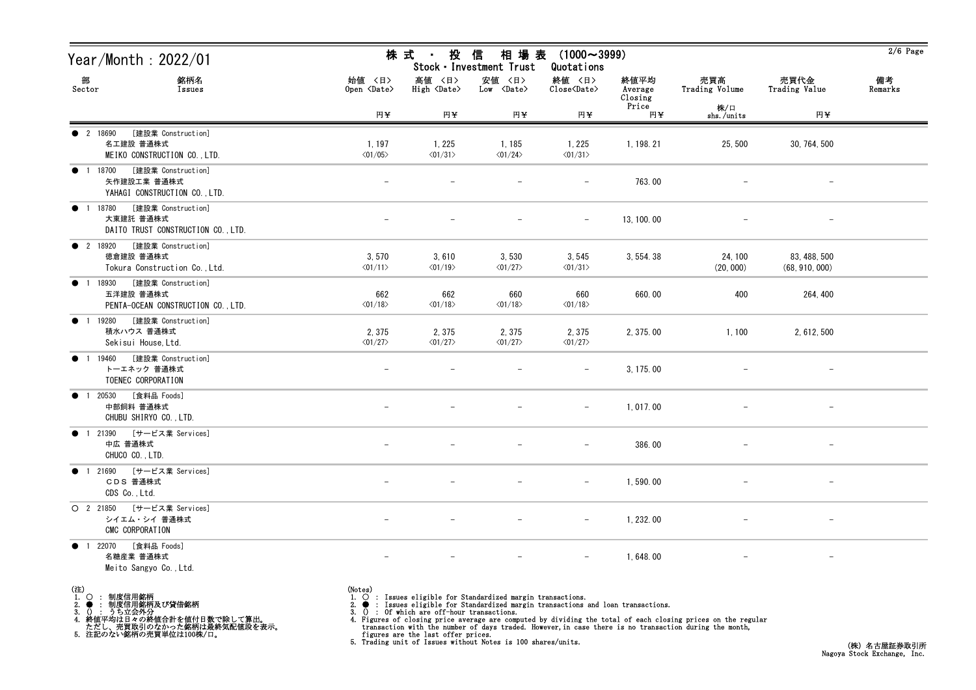| Year/Month : 2022/01                                                               |                                   | 株 式<br>投<br>信<br>相 場 表<br>$(1000 \sim 3999)$<br>$\sim$<br>Stock · Investment Trust<br>Quotations |                                                                                                                                                 |                                                                   |                            |                          |                                |               |  |
|------------------------------------------------------------------------------------|-----------------------------------|--------------------------------------------------------------------------------------------------|-------------------------------------------------------------------------------------------------------------------------------------------------|-------------------------------------------------------------------|----------------------------|--------------------------|--------------------------------|---------------|--|
| 部<br>銘柄名<br>Sector<br>Issues                                                       | 始值 〈日〉<br>Open <date></date>      | 高値 〈日〉<br>High <date></date>                                                                     | 安値 〈日〉<br>$Low \times Date$                                                                                                                     | 終値 〈日〉<br>$\overline{\text{Close}}$ $\langle \text{Date} \rangle$ | 終値平均<br>Average<br>Closing | 売買高<br>Trading Volume    | 売買代金<br>Trading Value          | 備考<br>Remarks |  |
|                                                                                    | 円半                                | 円半                                                                                               | 円半                                                                                                                                              | 円半                                                                | Price<br>円半                | 株/口<br>shs./units        | 円半                             |               |  |
| [建設業 Construction]<br><b>2</b> 18690<br>名工建設 普通株式<br>MEIKO CONSTRUCTION CO., LTD.  | 1, 197<br>$\langle 01/05 \rangle$ | 1, 225<br>$\langle 01/31 \rangle$                                                                | 1, 185<br>$\langle 01/24 \rangle$                                                                                                               | 1,225<br>$\langle 01/31 \rangle$                                  | 1, 198. 21                 | 25, 500                  | 30, 764, 500                   |               |  |
| [建設業 Construction]<br>● 1 18700<br>矢作建設工業 普通株式<br>YAHAGI CONSTRUCTION CO., LTD.    |                                   |                                                                                                  | $\overline{\phantom{0}}$                                                                                                                        | $-$                                                               | 763.00                     |                          | $\overline{\phantom{a}}$       |               |  |
| [建設業 Construction]<br>● 1 18780<br>大東建託 普通株式<br>DAITO TRUST CONSTRUCTION CO., LTD. |                                   |                                                                                                  |                                                                                                                                                 |                                                                   | 13, 100.00                 |                          |                                |               |  |
| [建設業 Construction]<br><b>2</b> 18920<br>徳倉建設 普通株式<br>Tokura Construction Co., Ltd. | 3,570<br>$\langle 01/11 \rangle$  | 3,610<br>$\langle 01/19 \rangle$                                                                 | 3,530<br>$\langle 01/27 \rangle$                                                                                                                | 3,545<br>$\langle 01/31 \rangle$                                  | 3, 554. 38                 | 24, 100<br>(20, 000)     | 83, 488, 500<br>(68, 910, 000) |               |  |
| ● 1 18930 [建設業 Construction]<br>五洋建設 普通株式<br>PENTA-OCEAN CONSTRUCTION CO., LTD.    | 662<br>$\langle 01/18 \rangle$    | 662<br>$\langle 01/18 \rangle$                                                                   | 660<br>$\langle 01/18 \rangle$                                                                                                                  | 660<br>$\langle 01/18 \rangle$                                    | 660.00                     | 400                      | 264, 400                       |               |  |
| ● 1 19280 [建設業 Construction]<br>積水ハウス 普通株式<br>Sekisui House, Ltd.                  | 2,375<br>$\langle 01/27 \rangle$  | 2,375<br>$\langle 01/27 \rangle$                                                                 | 2,375<br>$\langle 01/27 \rangle$                                                                                                                | 2,375<br>$\langle 01/27 \rangle$                                  | 2, 375.00                  | 1,100                    | 2, 612, 500                    |               |  |
| [建設業 Construction]<br><b>1</b> 19460<br>トーエネック 普通株式<br>TOENEC CORPORATION          | $\qquad \qquad -$                 |                                                                                                  |                                                                                                                                                 | $\overline{\phantom{m}}$                                          | 3, 175.00                  |                          | $\qquad \qquad -$              |               |  |
| [食料品 Foods]<br>● 1 20530<br>中部飼料 普通株式<br>CHUBU SHIRYO CO., LTD.                    |                                   |                                                                                                  |                                                                                                                                                 |                                                                   | 1,017.00                   |                          |                                |               |  |
| ● 1 21390 [サービス業 Services]<br>中広 普通株式<br>CHUCO CO., LTD.                           |                                   |                                                                                                  |                                                                                                                                                 | $\overline{\phantom{m}}$                                          | 386.00                     | $\overline{\phantom{m}}$ | $\overline{\phantom{a}}$       |               |  |
| [サービス業 Services]<br>1 21690<br>$\bullet$<br>CDS 普通株式<br>CDS Co., Ltd.              |                                   |                                                                                                  |                                                                                                                                                 |                                                                   | 1,590.00                   |                          |                                |               |  |
| [サービス業 Services]<br>$O$ 2 21850<br>シイエム・シイ 普通株式<br>CMC CORPORATION                 |                                   |                                                                                                  |                                                                                                                                                 |                                                                   | 1, 232.00                  |                          |                                |               |  |
| [食料品 Foods]<br>● 1 22070<br>名糖産業 普通株式<br>Meito Sangyo Co., Ltd.                    |                                   |                                                                                                  |                                                                                                                                                 |                                                                   | 1,648.00                   |                          |                                |               |  |
| (注)<br>制度信用銘柄<br>1.<br>$\circ$<br><b>制度信用銘柄及び貸借銘柄</b><br>☆会外分                      | (Notes)<br>2.                     | $\cdot$ Of which are off-hour transactions                                                       | 1. O : Issues eligible for Standardized margin transactions.<br>• : Issues eligible for Standardized margin transactions and loan transactions. |                                                                   |                            |                          |                                |               |  |

3. () : うち立会外分 4. 終値平均は日々の終値合計を値付日数で除して算出。 ただし、売買取引のなかった銘柄は最終気配値段を表示。 5. 注記のない銘柄の売買単位は100株/口。

3. () : Of which are off-hour transactions.<br>4. Figures of closing price average are computed by dividing the total of each closing prices on the regular<br>transaction with the number of days traded. However, in case there i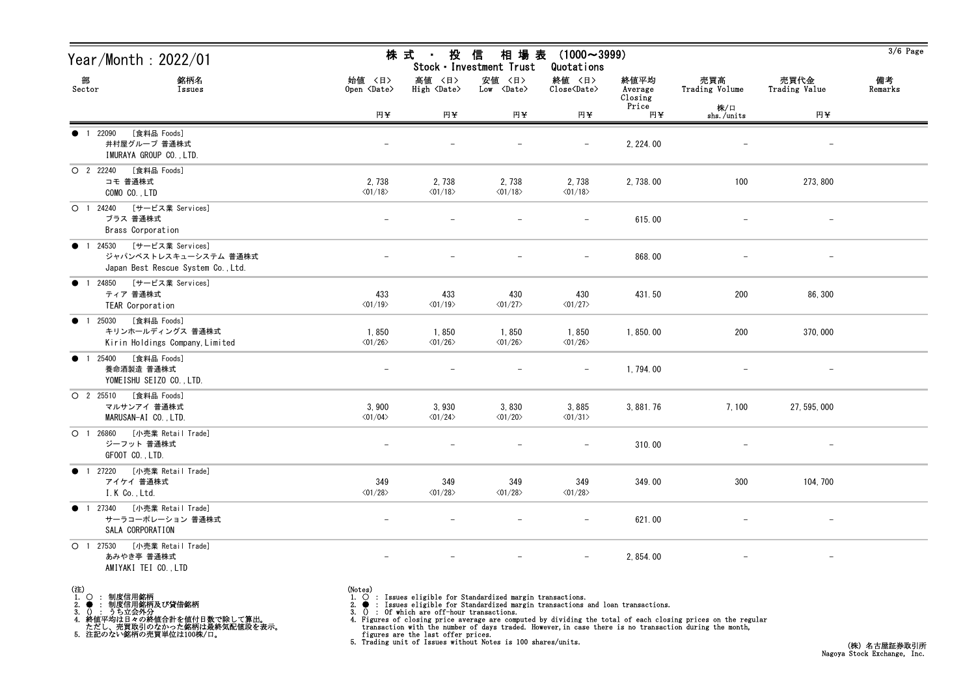| Year/Month : 2022/01                                                                              | 株 式<br>投<br>信<br>相 場 表<br>$(1000 \sim 3999)$<br>Stock · Investment Trust<br>Quotations |                                  |                                  |                                  |                            |                       |                          | $3/6$ Page    |
|---------------------------------------------------------------------------------------------------|----------------------------------------------------------------------------------------|----------------------------------|----------------------------------|----------------------------------|----------------------------|-----------------------|--------------------------|---------------|
| 部<br>銘柄名<br>Sector<br>Issues                                                                      | 始値 〈日〉<br>Open <date></date>                                                           | 高値 〈日〉<br>High <date></date>     | 安値 〈日〉<br>Low <date></date>      | 終値 〈日〉<br>Close <date></date>    | 終値平均<br>Average<br>Closing | 売買高<br>Trading Volume | 売買代金<br>Trading Value    | 備考<br>Remarks |
|                                                                                                   | 円半                                                                                     | 円半                               | 円半                               | 円半                               | Price<br>円半                | 株/口<br>shs./units     | 円半                       |               |
| [食料品 Foods]<br>● 1 22090<br>井村屋グループ 普通株式<br>IMURAYA GROUP CO., LTD.                               |                                                                                        |                                  |                                  | $\overline{\phantom{0}}$         | 2, 224.00                  |                       | $\overline{\phantom{m}}$ |               |
| [食料品 Foods]<br>O 2 22240<br>コモ 普通株式<br>COMO CO., LTD                                              | 2,738<br>$\langle 01/18 \rangle$                                                       | 2,738<br>$\langle 01/18 \rangle$ | 2,738<br>$\langle 01/18 \rangle$ | 2,738<br>$\langle 01/18 \rangle$ | 2, 738.00                  | 100                   | 273, 800                 |               |
| [サービス業 Services]<br>O 1 24240<br>ブラス 普通株式<br>Brass Corporation                                    |                                                                                        |                                  |                                  |                                  | 615.00                     |                       |                          |               |
| [サービス業 Services]<br><b>1</b> 24530<br>ジャパンベストレスキューシステム 普通株式<br>Japan Best Rescue System Co., Ltd. |                                                                                        |                                  |                                  | $\overline{\phantom{0}}$         | 868.00                     |                       |                          |               |
| ● 1 24850 [サービス業 Services]<br>ティア 普通株式<br>TEAR Corporation                                        | 433<br>$\langle 01/19 \rangle$                                                         | 433<br>$\langle 01/19 \rangle$   | 430<br>$\langle 01/27 \rangle$   | 430<br>$\langle 01/27 \rangle$   | 431.50                     | 200                   | 86,300                   |               |
| [食料品 Foods]<br>● 1 25030<br>キリンホールディングス 普通株式<br>Kirin Holdings Company, Limited                   | 1,850<br>$\langle 01/26 \rangle$                                                       | 1,850<br>$\langle 01/26 \rangle$ | 1,850<br>$\langle 01/26 \rangle$ | 1,850<br>$\langle 01/26 \rangle$ | 1,850.00                   | 200                   | 370,000                  |               |
| [食料品 Foods]<br>● 1 25400<br>養命酒製造 普通株式<br>YOMEISHU SEIZO CO., LTD.                                | $\qquad \qquad -$                                                                      |                                  |                                  | $\overline{\phantom{m}}$         | 1,794.00                   |                       | $\overline{\phantom{m}}$ |               |
| [食料品 Foods]<br>O 2 25510<br>マルサンアイ 普通株式<br>MARUSAN-AI CO., LTD.                                   | 3,900<br>$\langle 01/04 \rangle$                                                       | 3,930<br>$\langle 01/24 \rangle$ | 3,830<br>$\langle 01/20 \rangle$ | 3,885<br>$\langle 01/31 \rangle$ | 3, 881. 76                 | 7,100                 | 27, 595, 000             |               |
| 〇 1 26860 [小売業 Retail Trade]<br>ジーフット 普通株式<br>GFOOT CO., LTD.                                     |                                                                                        |                                  |                                  |                                  | 310.00                     |                       | $\overline{\phantom{m}}$ |               |
| ● 1 27220 [小売業 Retail Trade]<br>アイケイ 普通株式<br>I.K Co., Ltd.                                        | 349<br>$\langle 01/28 \rangle$                                                         | 349<br>$\langle 01/28 \rangle$   | 349<br>$\langle 01/28 \rangle$   | 349<br>$\langle 01/28 \rangle$   | 349.00                     | 300                   | 104, 700                 |               |
| [小売業 Retail Trade]<br>● 1 27340<br>サーラコーポレーション 普通株式<br>SALA CORPORATION                           | $\overline{\phantom{0}}$                                                               |                                  |                                  |                                  | 621.00                     |                       | $\overline{\phantom{0}}$ |               |
| [小売業 Retail Trade]<br>$O$ 1 27530<br>あみやき亭 普通株式<br>AMIYAKI TEI CO., LTD                           |                                                                                        |                                  |                                  | $-$                              | 2, 854.00                  |                       |                          |               |

- (注)<br>1. ○<br>2. ●<br>3. ① 1. ○ : 制度信用銘柄
- 

2. ● : 制度信用銘柄及び貸借銘柄<br>3. () : うち立会外分<br>4. 終値平均は日々の終値合計を値付日数で除して算出。<br>ただし、売買取引のなかった銘柄は最終気配値段を表示。<br>5. 注記のない銘柄の売買単位は100株/口。

(Notes)<br>1. ○ : Issues eligible for Standardized margin transactions.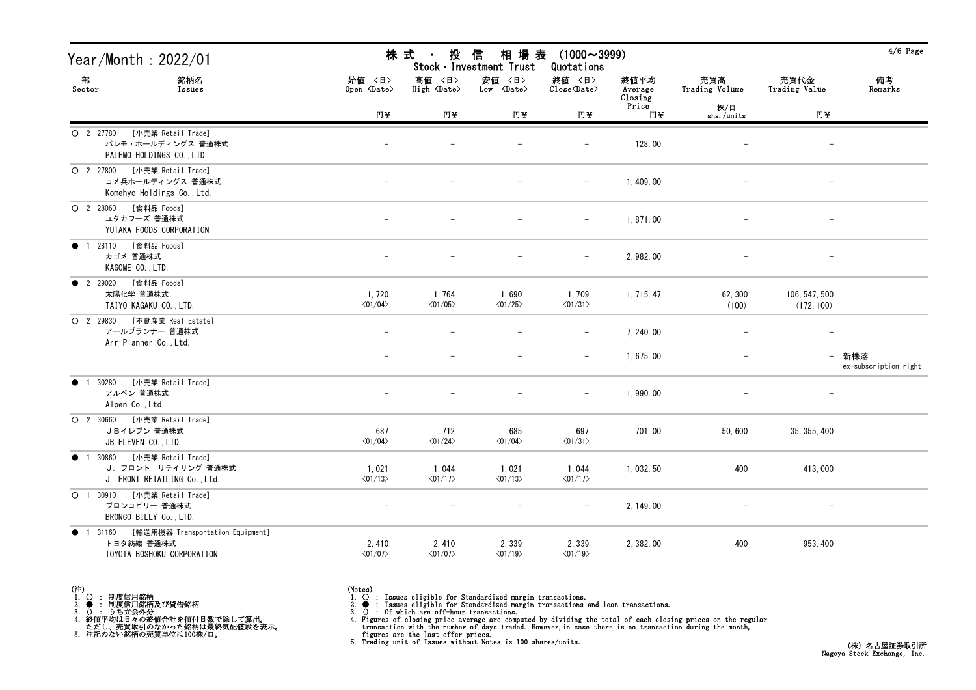| Year/Month: 2022/01                                                                             |                                  | 株 式<br>投<br>相 場 表<br>$(1000 \sim 3999)$<br>信<br>$\blacksquare$<br>Stock · Investment Trust<br>Quotations |                                      |                                  |                            |                       |                             | $4/6$ Page                     |
|-------------------------------------------------------------------------------------------------|----------------------------------|----------------------------------------------------------------------------------------------------------|--------------------------------------|----------------------------------|----------------------------|-----------------------|-----------------------------|--------------------------------|
| 部<br>銘柄名<br>Sector<br>Issues                                                                    | 始値 〈日〉<br>Open <date></date>     | 高値 〈日〉<br>High <date></date>                                                                             | 安値 〈日〉<br>$Low \langle Date \rangle$ | 終値 〈日〉<br>Close <date></date>    | 終値平均<br>Average<br>Closing | 売買高<br>Trading Volume | 売買代金<br>Trading Value       | 備考<br>Remarks                  |
|                                                                                                 | 円半                               | 円半                                                                                                       | 円半                                   | 円半                               | Price<br>円半                | 株/口<br>shs./units     | 円半                          |                                |
| [小売業 Retail Trade]<br>O 2 27780<br>パレモ・ホールディングス 普通株式<br>PALEMO HOLDINGS CO., LTD.               |                                  |                                                                                                          |                                      |                                  | 128.00                     |                       | $\overline{\phantom{m}}$    |                                |
| [小売業 Retail Trade]<br>O 2 27800<br>コメ兵ホールディングス 普通株式<br>Komehyo Holdings Co., Ltd.               |                                  |                                                                                                          |                                      | $\overline{\phantom{m}}$         | 1,409.00                   |                       | $\overline{\phantom{m}}$    |                                |
| [食料品 Foods]<br>$O$ 2 28060<br>ユタカフーズ 普通株式<br>YUTAKA FOODS CORPORATION                           |                                  |                                                                                                          |                                      | $\overline{\phantom{m}}$         | 1,871.00                   |                       |                             |                                |
| [食料品 Foods]<br>28110<br>$\bullet$ 1<br>カゴメ 普通株式<br>KAGOME CO., LTD.                             |                                  |                                                                                                          |                                      | $\overline{\phantom{m}}$         | 2, 982.00                  |                       |                             |                                |
| <b>12</b> 29020<br>[食料品 Foods]<br>太陽化学 普通株式<br>TAIYO KAGAKU CO., LTD.                           | 1,720<br>$\langle 01/04 \rangle$ | 1,764<br>$\langle 01/05 \rangle$                                                                         | 1,690<br>$\langle 01/25 \rangle$     | 1,709<br>$\langle 01/31 \rangle$ | 1, 715. 47                 | 62, 300<br>(100)      | 106, 547, 500<br>(172, 100) |                                |
| [不動産業 Real Estate]<br>O 2 29830<br>アールプランナー 普通株式<br>Arr Planner Co., Ltd.                       |                                  | $\overline{\phantom{0}}$                                                                                 |                                      |                                  | 7, 240.00                  |                       | $\overline{\phantom{m}}$    |                                |
|                                                                                                 |                                  |                                                                                                          |                                      |                                  | 1,675.00                   |                       |                             | - 新株落<br>ex-subscription right |
| 30280<br>[小売業 Retail Trade]<br>$\bullet$<br>アルペン 普通株式<br>Alpen Co., Ltd                         |                                  |                                                                                                          |                                      | $\overline{\phantom{m}}$         | 1,990.00                   |                       |                             |                                |
| $O$ 2 30660<br>[小売業 Retail Trade]<br>JBイレブン 普通株式<br>JB ELEVEN CO., LTD.                         | 687<br>$\langle 01/04 \rangle$   | 712<br>$\langle 01/24 \rangle$                                                                           | 685<br>$\langle 01/04 \rangle$       | 697<br>$\langle 01/31 \rangle$   | 701.00                     | 50,600                | 35, 355, 400                |                                |
| [小売業 Retail Trade]<br>30860<br>$\bullet$<br>J. フロント リテイリング 普通株式<br>J. FRONT RETAILING Co., Ltd. | 1,021<br>$\langle 01/13 \rangle$ | 1,044<br>$\langle 01/17 \rangle$                                                                         | 1,021<br>$\langle 01/13 \rangle$     | 1,044<br>$\langle 01/17 \rangle$ | 1, 032. 50                 | 400                   | 413,000                     |                                |
| O <sub>1</sub><br>[小売業 Retail Trade]<br>30910<br>ブロンコビリー 普通株式<br>BRONCO BILLY Co., LTD.         | $\overline{\phantom{m}}$         | $\qquad \qquad -$                                                                                        |                                      | $\overline{\phantom{m}}$         | 2, 149.00                  | $\qquad \qquad -$     | $-$                         |                                |
| [輸送用機器 Transportation Equipment]<br>• 1 31160<br>トヨタ紡織 普通株式<br>TOYOTA BOSHOKU CORPORATION       | 2,410<br>$\langle 01/07 \rangle$ | 2,410<br>$\langle 01/07 \rangle$                                                                         | 2,339<br>$\langle 01/19 \rangle$     | 2,339<br>$\langle 01/19 \rangle$ | 2, 382.00                  | 400                   | 953, 400                    |                                |

(注)<br>1. ○<br>2. ●<br>3. ① 1. ○ : 制度信用銘柄 2. ● : 制度信用銘柄及び貸借銘柄<br>3. () : うち立会外分<br>4. 終値平均は日々の終値合計を値付日数で除して算出。<br>ただし、売買取引のなかった銘柄は最終気配値段を表示。<br>5. 注記のない銘柄の売買単位は100株/口。

(Notes)<br>1. ○ : Issues eligible for Standardized margin transactions.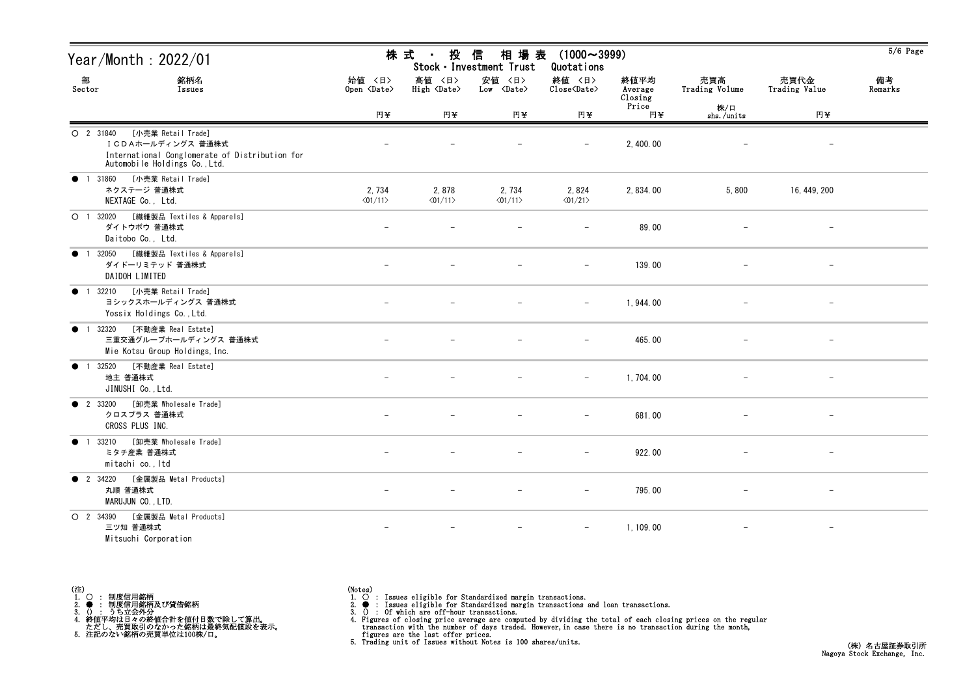| Year/Month : 2022/01                                                                                                                    | 株式<br>投<br>信<br>相場表<br>$(1000 \sim 3999)$<br>Stock · Investment Trust<br>Quotations |                                                                                                                               |                                  |                                  |               |                          |                          | $5/6$ Page |
|-----------------------------------------------------------------------------------------------------------------------------------------|-------------------------------------------------------------------------------------|-------------------------------------------------------------------------------------------------------------------------------|----------------------------------|----------------------------------|---------------|--------------------------|--------------------------|------------|
| 部<br>銘柄名<br>Sector<br>Issues                                                                                                            | 始値 〈日〉<br>Open <date></date>                                                        | 安値 〈日〉<br>終値 〈日〉<br>高値 〈日〉<br>終値平均<br>High <date><br/>Low <date><br/>Close<date><br/>Average<br/>Closing</date></date></date> | 売買高<br>Trading Volume            | 売買代金<br>Trading Value            | 備考<br>Remarks |                          |                          |            |
|                                                                                                                                         | 円半                                                                                  | 円半                                                                                                                            | 円半                               | 円半                               | Price<br>円半   | 株/口<br>shs./units        | 円半                       |            |
| O 2 31840<br>[小売業 Retail Trade]<br>ICDAホールディングス 普通株式<br>International Conglomerate of Distribution for<br>Automobile Holdings Co., Ltd. |                                                                                     |                                                                                                                               |                                  |                                  | 2, 400.00     |                          | $\qquad \qquad -$        |            |
| [小売業 Retail Trade]<br>● 1 31860<br>ネクステージ 普通株式<br>NEXTAGE Co., Ltd.                                                                     | 2,734<br>$\langle 01/11 \rangle$                                                    | 2,878<br>$\langle 01/11 \rangle$                                                                                              | 2,734<br>$\langle 01/11 \rangle$ | 2,824<br>$\langle 01/21 \rangle$ | 2, 834.00     | 5,800                    | 16, 449, 200             |            |
| [繊維製品 Textiles & Apparels]<br>O <sub>1</sub><br>32020<br>ダイトウボウ 普通株式<br>Daitobo Co., Ltd.                                               |                                                                                     |                                                                                                                               |                                  | $\overline{\phantom{m}}$         | 89.00         | $\overline{\phantom{0}}$ | $\overline{\phantom{m}}$ |            |
| [繊維製品 Textiles & Apparels]<br>32050<br>$\bullet$<br>$\overline{1}$<br>ダイドーリミテッド 普通株式<br>DAIDOH LIMITED                                  |                                                                                     |                                                                                                                               |                                  |                                  | 139.00        |                          |                          |            |
| [小売業 Retail Trade]<br>32210<br>$\bullet$ 1<br>ヨシックスホールディングス 普通株式<br>Yossix Holdings Co., Ltd.                                           |                                                                                     |                                                                                                                               |                                  | $\overline{\phantom{m}}$         | 1, 944.00     |                          |                          |            |
| [不動産業 Real Estate]<br>32320<br>$\bullet$ 1<br>三重交通グループホールディングス 普通株式<br>Mie Kotsu Group Holdings, Inc.                                   |                                                                                     |                                                                                                                               |                                  | $\overline{\phantom{a}}$         | 465.00        |                          | $\overline{\phantom{m}}$ |            |
| [不動産業 Real Estate]<br>32520<br>$\bullet$<br>$\overline{1}$<br>地主 普通株式<br>JINUSHI Co., Ltd.                                              |                                                                                     |                                                                                                                               |                                  | $\overline{\phantom{m}}$         | 1,704.00      |                          | $\overline{\phantom{m}}$ |            |
| [卸売業 Wholesale Trade]<br><b>2</b> 33200<br>クロスプラス 普通株式<br>CROSS PLUS INC.                                                               | $\overline{\phantom{0}}$                                                            |                                                                                                                               |                                  | $\overline{\phantom{m}}$         | 681.00        | $\qquad \qquad -$        | $\overline{\phantom{m}}$ |            |
| 33210<br>[卸売業 Wholesale Trade]<br>$\bullet$ 1<br>ミタチ産業 普通株式<br>mitachi co., Itd                                                         |                                                                                     |                                                                                                                               |                                  |                                  | 922.00        |                          | $\overline{\phantom{m}}$ |            |
| [金属製品 Metal Products]<br><b>2</b> 34220<br>丸順 普通株式<br>MARUJUN CO., LTD.                                                                 |                                                                                     |                                                                                                                               |                                  |                                  | 795.00        |                          |                          |            |
| [金属製品 Metal Products]<br>O 2 34390<br>三ツ知 普通株式<br>Mitsuchi Corporation                                                                  |                                                                                     | $\overline{\phantom{0}}$                                                                                                      |                                  | $\overline{\phantom{m}}$         | 1, 109.00     | $\overline{\phantom{m}}$ | $-$                      |            |

| (注) |  |        |                            |
|-----|--|--------|----------------------------|
|     |  | 制度信用銘柄 |                            |
|     |  |        | 制度信用銘柄及び貸借銘柄               |
|     |  | うち立会外分 |                            |
|     |  |        | 終値平均は日々の終値合計を値付日数で除して算出。   |
|     |  |        | ただし、売買取引のなかった銘柄は最終気配値段を表示。 |
|     |  |        | 注記のない銘柄の売買単位は100株/口。       |

(Notes)<br>1. ○ : Issues eligible for Standardized margin transactions.